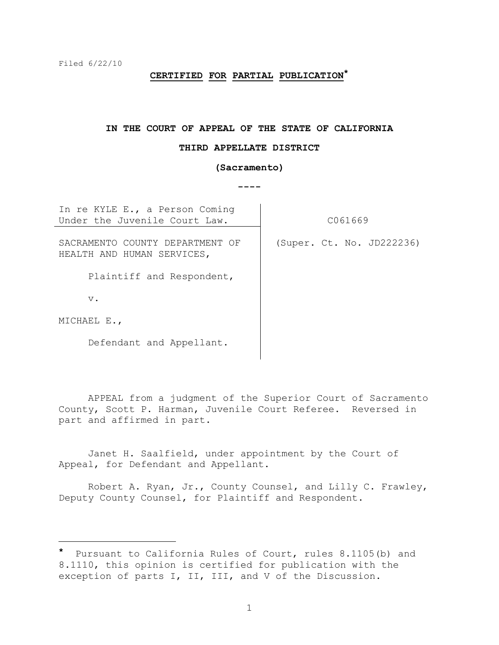# **CERTIFIED FOR PARTIAL PUBLICATION\***

#### **IN THE COURT OF APPEAL OF THE STATE OF CALIFORNIA**

#### **THIRD APPELLATE DISTRICT**

#### **(Sacramento)**

**----**

In re KYLE E., a Person Coming Under the Juvenile Court Law. | C061669

SACRAMENTO COUNTY DEPARTMENT OF (Super. Ct. No. JD222236) HEALTH AND HUMAN SERVICES,

Plaintiff and Respondent,

v.

MICHAEL E.,

i<br>L

Defendant and Appellant.

APPEAL from a judgment of the Superior Court of Sacramento County, Scott P. Harman, Juvenile Court Referee. Reversed in part and affirmed in part.

Janet H. Saalfield, under appointment by the Court of Appeal, for Defendant and Appellant.

Robert A. Ryan, Jr., County Counsel, and Lilly C. Frawley, Deputy County Counsel, for Plaintiff and Respondent.

Pursuant to California Rules of Court, rules 8.1105(b) and 8.1110, this opinion is certified for publication with the exception of parts I, II, III, and V of the Discussion.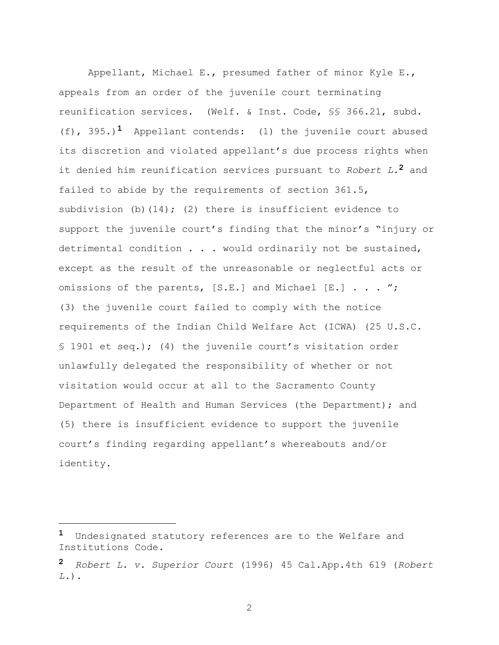Appellant, Michael E., presumed father of minor Kyle E., appeals from an order of the juvenile court terminating reunification services. (Welf. & Inst. Code, §§ 366.21, subd. (f), 395.)**1** Appellant contends: (1) the juvenile court abused its discretion and violated appellant's due process rights when it denied him reunification services pursuant to *Robert L.***2** and failed to abide by the requirements of section 361.5, subdivision (b)(14); (2) there is insufficient evidence to support the juvenile court's finding that the minor's "injury or detrimental condition . . . would ordinarily not be sustained, except as the result of the unreasonable or neglectful acts or omissions of the parents, [S.E.] and Michael [E.] . . . "; (3) the juvenile court failed to comply with the notice requirements of the Indian Child Welfare Act (ICWA) (25 U.S.C. § 1901 et seq.); (4) the juvenile court's visitation order unlawfully delegated the responsibility of whether or not visitation would occur at all to the Sacramento County Department of Health and Human Services (the Department); and (5) there is insufficient evidence to support the juvenile court"s finding regarding appellant"s whereabouts and/or identity.

i<br>L

**<sup>1</sup>** Undesignated statutory references are to the Welfare and Institutions Code.

**<sup>2</sup>** *Robert L. v. Superior Court* (1996) 45 Cal.App.4th 619 (*Robert L.*).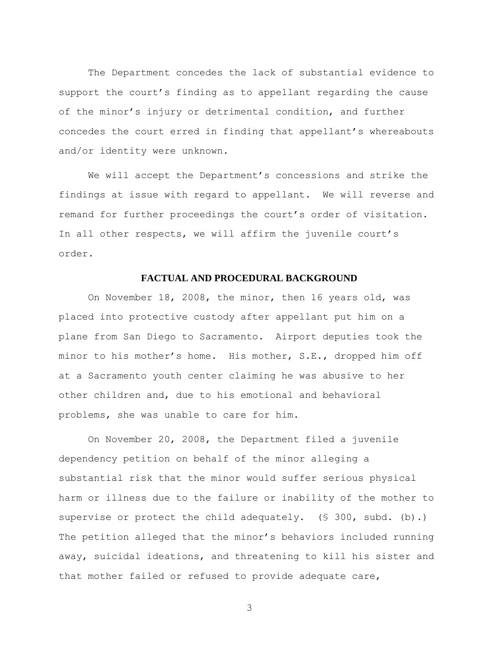The Department concedes the lack of substantial evidence to support the court's finding as to appellant regarding the cause of the minor's injury or detrimental condition, and further concedes the court erred in finding that appellant"s whereabouts and/or identity were unknown.

We will accept the Department's concessions and strike the findings at issue with regard to appellant. We will reverse and remand for further proceedings the court's order of visitation. In all other respects, we will affirm the juvenile court's order.

# **FACTUAL AND PROCEDURAL BACKGROUND**

On November 18, 2008, the minor, then 16 years old, was placed into protective custody after appellant put him on a plane from San Diego to Sacramento. Airport deputies took the minor to his mother"s home. His mother, S.E., dropped him off at a Sacramento youth center claiming he was abusive to her other children and, due to his emotional and behavioral problems, she was unable to care for him.

On November 20, 2008, the Department filed a juvenile dependency petition on behalf of the minor alleging a substantial risk that the minor would suffer serious physical harm or illness due to the failure or inability of the mother to supervise or protect the child adequately. (§ 300, subd. (b).) The petition alleged that the minor's behaviors included running away, suicidal ideations, and threatening to kill his sister and that mother failed or refused to provide adequate care,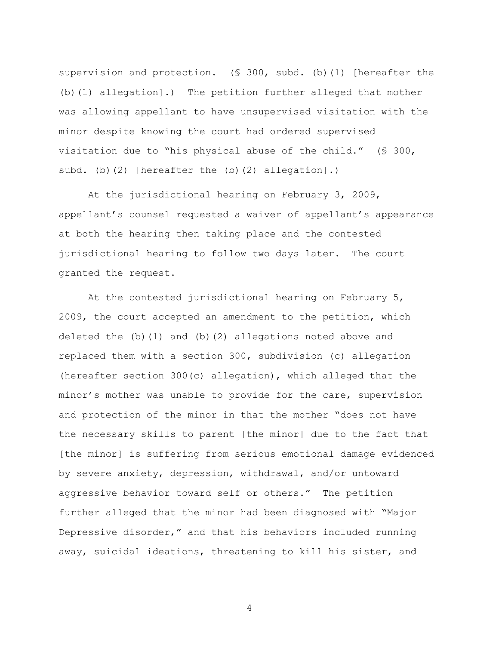supervision and protection. (§ 300, subd. (b)(1) [hereafter the (b)(1) allegation].) The petition further alleged that mother was allowing appellant to have unsupervised visitation with the minor despite knowing the court had ordered supervised visitation due to "his physical abuse of the child." (§ 300, subd. (b)(2) [hereafter the (b)(2) allegation].)

At the jurisdictional hearing on February 3, 2009, appellant's counsel requested a waiver of appellant's appearance at both the hearing then taking place and the contested jurisdictional hearing to follow two days later. The court granted the request.

At the contested jurisdictional hearing on February 5, 2009, the court accepted an amendment to the petition, which deleted the  $(b)$  (1) and  $(b)$  (2) allegations noted above and replaced them with a section 300, subdivision (c) allegation (hereafter section 300(c) allegation), which alleged that the minor"s mother was unable to provide for the care, supervision and protection of the minor in that the mother "does not have the necessary skills to parent [the minor] due to the fact that [the minor] is suffering from serious emotional damage evidenced by severe anxiety, depression, withdrawal, and/or untoward aggressive behavior toward self or others." The petition further alleged that the minor had been diagnosed with "Major Depressive disorder," and that his behaviors included running away, suicidal ideations, threatening to kill his sister, and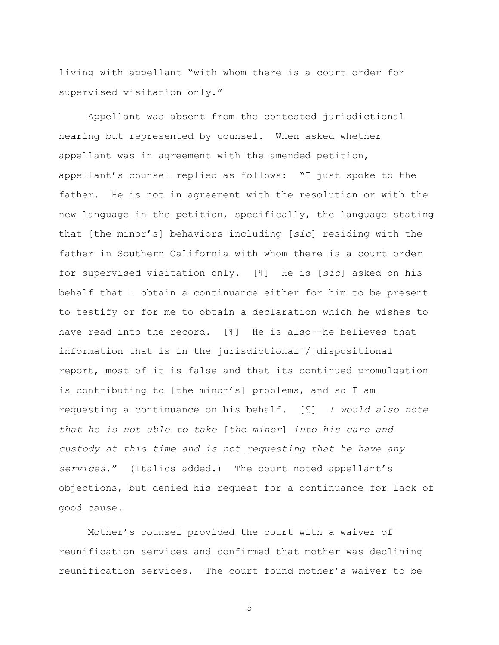living with appellant "with whom there is a court order for supervised visitation only."

Appellant was absent from the contested jurisdictional hearing but represented by counsel. When asked whether appellant was in agreement with the amended petition, appellant's counsel replied as follows: "I just spoke to the father. He is not in agreement with the resolution or with the new language in the petition, specifically, the language stating that [the minor"s] behaviors including [*sic*] residing with the father in Southern California with whom there is a court order for supervised visitation only. [¶] He is [*sic*] asked on his behalf that I obtain a continuance either for him to be present to testify or for me to obtain a declaration which he wishes to have read into the record. [¶] He is also--he believes that information that is in the jurisdictional[/]dispositional report, most of it is false and that its continued promulgation is contributing to [the minor's] problems, and so I am requesting a continuance on his behalf. [¶] *I would also note that he is not able to take* [*the minor*] *into his care and custody at this time and is not requesting that he have any services*." (Italics added.) The court noted appellant"s objections, but denied his request for a continuance for lack of good cause.

Mother"s counsel provided the court with a waiver of reunification services and confirmed that mother was declining reunification services. The court found mother"s waiver to be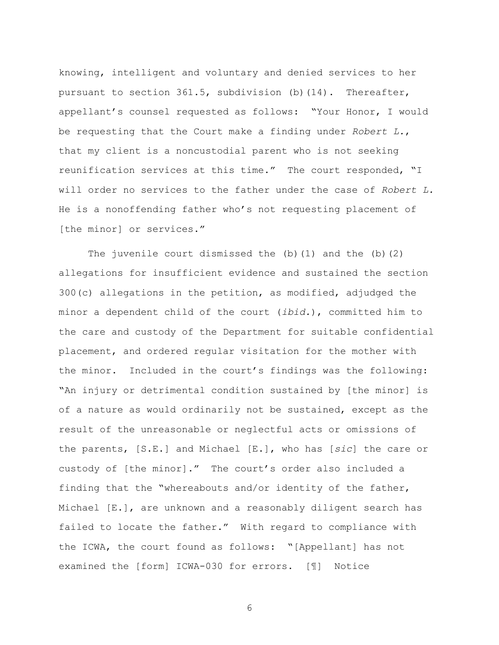knowing, intelligent and voluntary and denied services to her pursuant to section 361.5, subdivision (b)(14). Thereafter, appellant"s counsel requested as follows: "Your Honor, I would be requesting that the Court make a finding under *Robert L.*, that my client is a noncustodial parent who is not seeking reunification services at this time." The court responded, "I will order no services to the father under the case of *Robert L.* He is a nonoffending father who"s not requesting placement of [the minor] or services."

The juvenile court dismissed the  $(b)$  (1) and the  $(b)$  (2) allegations for insufficient evidence and sustained the section 300(c) allegations in the petition, as modified, adjudged the minor a dependent child of the court (*ibid.*), committed him to the care and custody of the Department for suitable confidential placement, and ordered regular visitation for the mother with the minor. Included in the court's findings was the following: "An injury or detrimental condition sustained by [the minor] is of a nature as would ordinarily not be sustained, except as the result of the unreasonable or neglectful acts or omissions of the parents, [S.E.] and Michael [E.], who has [*sic*] the care or custody of [the minor]." The court's order also included a finding that the "whereabouts and/or identity of the father, Michael [E.], are unknown and a reasonably diligent search has failed to locate the father." With regard to compliance with the ICWA, the court found as follows: "[Appellant] has not examined the [form] ICWA-030 for errors. [¶] Notice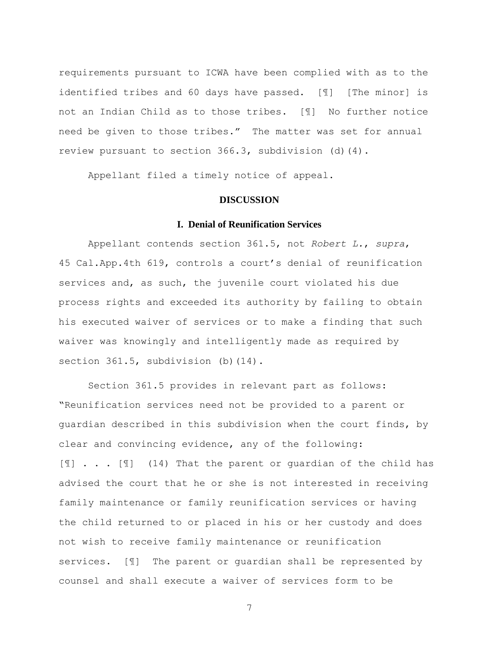requirements pursuant to ICWA have been complied with as to the identified tribes and 60 days have passed. [¶] [The minor] is not an Indian Child as to those tribes. [¶] No further notice need be given to those tribes." The matter was set for annual review pursuant to section 366.3, subdivision (d)(4).

Appellant filed a timely notice of appeal.

### **DISCUSSION**

# **I. Denial of Reunification Services**

Appellant contends section 361.5, not *Robert L.*, *supra*, 45 Cal.App.4th 619, controls a court"s denial of reunification services and, as such, the juvenile court violated his due process rights and exceeded its authority by failing to obtain his executed waiver of services or to make a finding that such waiver was knowingly and intelligently made as required by section 361.5, subdivision (b) (14).

Section 361.5 provides in relevant part as follows: "Reunification services need not be provided to a parent or guardian described in this subdivision when the court finds, by clear and convincing evidence, any of the following: [I] . . . [I] (14) That the parent or guardian of the child has advised the court that he or she is not interested in receiving family maintenance or family reunification services or having the child returned to or placed in his or her custody and does not wish to receive family maintenance or reunification services. [¶] The parent or guardian shall be represented by counsel and shall execute a waiver of services form to be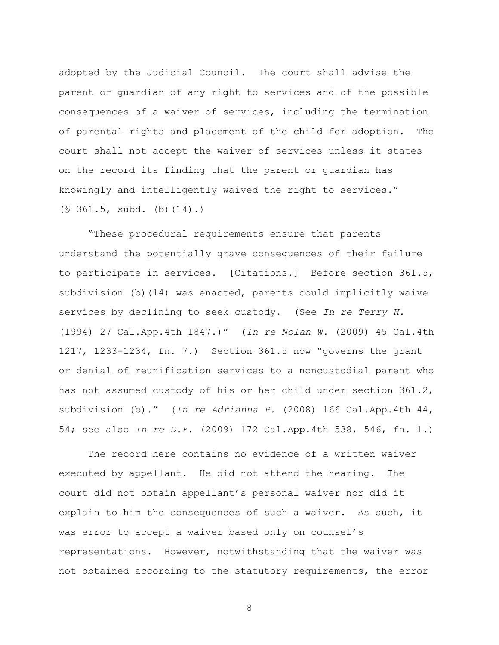adopted by the Judicial Council. The court shall advise the parent or guardian of any right to services and of the possible consequences of a waiver of services, including the termination of parental rights and placement of the child for adoption. The court shall not accept the waiver of services unless it states on the record its finding that the parent or guardian has knowingly and intelligently waived the right to services." (§ 361.5, subd. (b)(14).)

"These procedural requirements ensure that parents understand the potentially grave consequences of their failure to participate in services. [Citations.] Before section 361.5, subdivision (b)(14) was enacted, parents could implicitly waive services by declining to seek custody. (See *In re Terry H.* (1994) 27 Cal.App.4th 1847.)" (*In re Nolan W.* (2009) 45 Cal.4th 1217, 1233-1234, fn. 7.) Section 361.5 now "governs the grant or denial of reunification services to a noncustodial parent who has not assumed custody of his or her child under section 361.2, subdivision (b)." (*In re Adrianna P.* (2008) 166 Cal.App.4th 44, 54; see also *In re D.F.* (2009) 172 Cal.App.4th 538, 546, fn. 1.)

The record here contains no evidence of a written waiver executed by appellant. He did not attend the hearing. The court did not obtain appellant"s personal waiver nor did it explain to him the consequences of such a waiver. As such, it was error to accept a waiver based only on counsel's representations. However, notwithstanding that the waiver was not obtained according to the statutory requirements, the error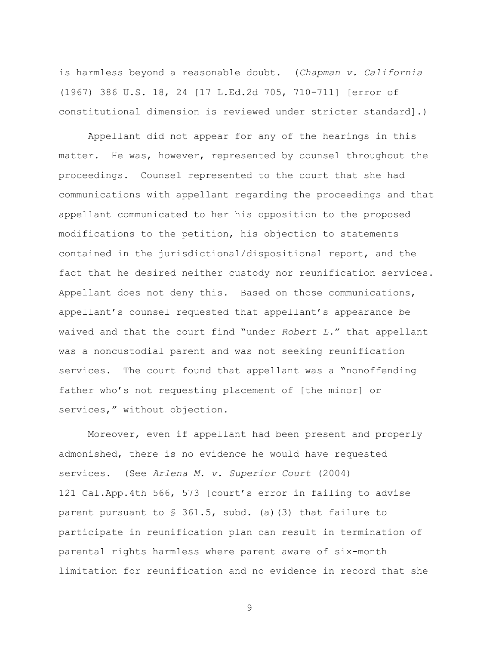is harmless beyond a reasonable doubt. (*Chapman v. California* (1967) 386 U.S. 18, 24 [17 L.Ed.2d 705, 710-711] [error of constitutional dimension is reviewed under stricter standard].)

Appellant did not appear for any of the hearings in this matter. He was, however, represented by counsel throughout the proceedings. Counsel represented to the court that she had communications with appellant regarding the proceedings and that appellant communicated to her his opposition to the proposed modifications to the petition, his objection to statements contained in the jurisdictional/dispositional report, and the fact that he desired neither custody nor reunification services. Appellant does not deny this. Based on those communications, appellant"s counsel requested that appellant"s appearance be waived and that the court find "under *Robert L.*" that appellant was a noncustodial parent and was not seeking reunification services. The court found that appellant was a "nonoffending father who's not requesting placement of [the minor] or services," without objection.

Moreover, even if appellant had been present and properly admonished, there is no evidence he would have requested services. (See *Arlena M. v. Superior Court* (2004) 121 Cal.App.4th 566, 573 [court"s error in failing to advise parent pursuant to § 361.5, subd. (a)(3) that failure to participate in reunification plan can result in termination of parental rights harmless where parent aware of six-month limitation for reunification and no evidence in record that she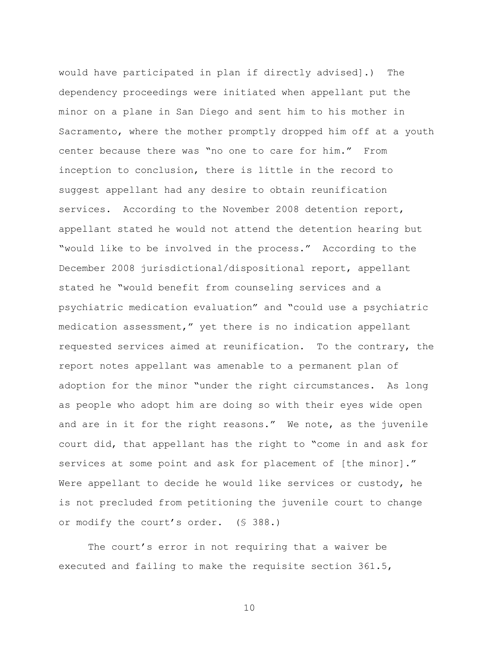would have participated in plan if directly advised].) The dependency proceedings were initiated when appellant put the minor on a plane in San Diego and sent him to his mother in Sacramento, where the mother promptly dropped him off at a youth center because there was "no one to care for him." From inception to conclusion, there is little in the record to suggest appellant had any desire to obtain reunification services. According to the November 2008 detention report, appellant stated he would not attend the detention hearing but "would like to be involved in the process." According to the December 2008 jurisdictional/dispositional report, appellant stated he "would benefit from counseling services and a psychiatric medication evaluation" and "could use a psychiatric medication assessment," yet there is no indication appellant requested services aimed at reunification. To the contrary, the report notes appellant was amenable to a permanent plan of adoption for the minor "under the right circumstances. As long as people who adopt him are doing so with their eyes wide open and are in it for the right reasons." We note, as the juvenile court did, that appellant has the right to "come in and ask for services at some point and ask for placement of [the minor]." Were appellant to decide he would like services or custody, he is not precluded from petitioning the juvenile court to change or modify the court"s order. (§ 388.)

The court's error in not requiring that a waiver be executed and failing to make the requisite section 361.5,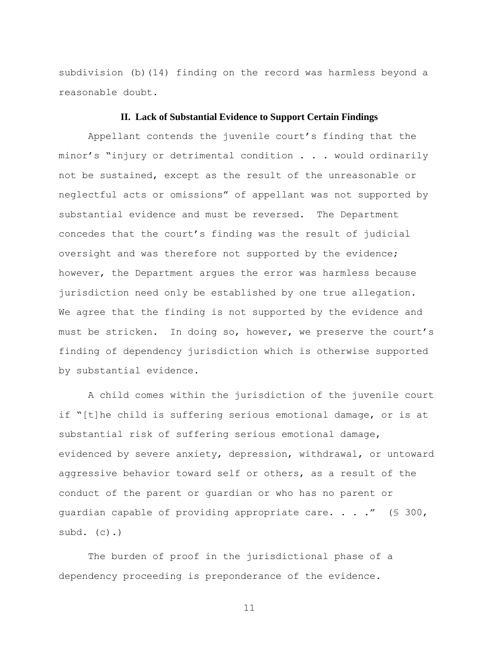subdivision (b)(14) finding on the record was harmless beyond a reasonable doubt.

### **II. Lack of Substantial Evidence to Support Certain Findings**

Appellant contends the juvenile court's finding that the minor's "injury or detrimental condition . . . would ordinarily not be sustained, except as the result of the unreasonable or neglectful acts or omissions" of appellant was not supported by substantial evidence and must be reversed. The Department concedes that the court"s finding was the result of judicial oversight and was therefore not supported by the evidence; however, the Department argues the error was harmless because jurisdiction need only be established by one true allegation. We agree that the finding is not supported by the evidence and must be stricken. In doing so, however, we preserve the court's finding of dependency jurisdiction which is otherwise supported by substantial evidence.

A child comes within the jurisdiction of the juvenile court if "[t]he child is suffering serious emotional damage, or is at substantial risk of suffering serious emotional damage, evidenced by severe anxiety, depression, withdrawal, or untoward aggressive behavior toward self or others, as a result of the conduct of the parent or guardian or who has no parent or guardian capable of providing appropriate care. . . ."  $(§ 300,$ subd.  $(c)$ .)

The burden of proof in the jurisdictional phase of a dependency proceeding is preponderance of the evidence.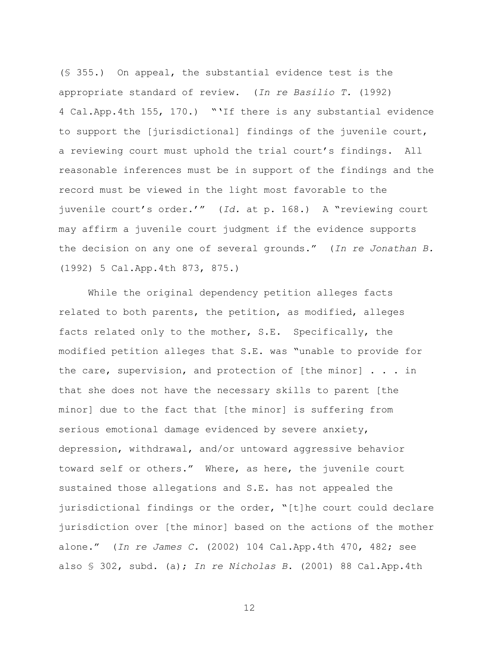(§ 355.) On appeal, the substantial evidence test is the appropriate standard of review. (*In re Basilio T.* (1992) 4 Cal.App.4th 155, 170.) ""If there is any substantial evidence to support the [jurisdictional] findings of the juvenile court, a reviewing court must uphold the trial court's findings. All reasonable inferences must be in support of the findings and the record must be viewed in the light most favorable to the juvenile court"s order."" (*Id.* at p. 168.) A "reviewing court may affirm a juvenile court judgment if the evidence supports the decision on any one of several grounds." (*In re Jonathan B.* (1992) 5 Cal.App.4th 873, 875.)

While the original dependency petition alleges facts related to both parents, the petition, as modified, alleges facts related only to the mother, S.E. Specifically, the modified petition alleges that S.E. was "unable to provide for the care, supervision, and protection of [the minor] . . . in that she does not have the necessary skills to parent [the minor] due to the fact that [the minor] is suffering from serious emotional damage evidenced by severe anxiety, depression, withdrawal, and/or untoward aggressive behavior toward self or others." Where, as here, the juvenile court sustained those allegations and S.E. has not appealed the jurisdictional findings or the order, "[t]he court could declare jurisdiction over [the minor] based on the actions of the mother alone." (*In re James C.* (2002) 104 Cal.App.4th 470, 482; see also § 302, subd. (a); *In re Nicholas B*. (2001) 88 Cal.App.4th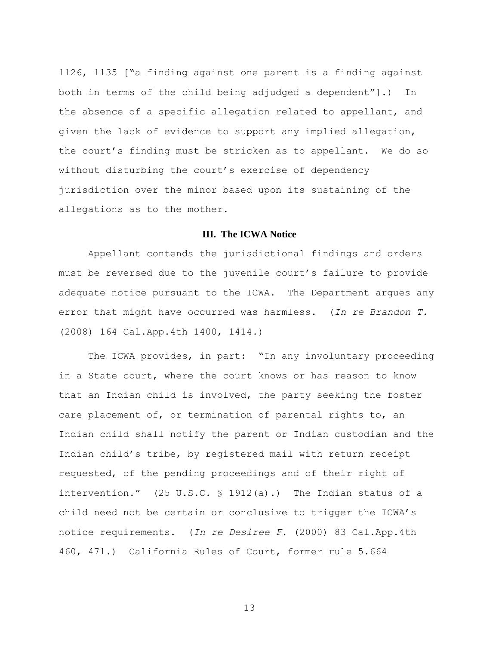1126, 1135 ["a finding against one parent is a finding against both in terms of the child being adjudged a dependent"].) In the absence of a specific allegation related to appellant, and given the lack of evidence to support any implied allegation, the court"s finding must be stricken as to appellant. We do so without disturbing the court's exercise of dependency jurisdiction over the minor based upon its sustaining of the allegations as to the mother.

## **III. The ICWA Notice**

Appellant contends the jurisdictional findings and orders must be reversed due to the juvenile court's failure to provide adequate notice pursuant to the ICWA. The Department argues any error that might have occurred was harmless. (*In re Brandon T.*  (2008) 164 Cal.App.4th 1400, 1414.)

The ICWA provides, in part: "In any involuntary proceeding in a State court, where the court knows or has reason to know that an Indian child is involved, the party seeking the foster care placement of, or termination of parental rights to, an Indian child shall notify the parent or Indian custodian and the Indian child"s tribe, by registered mail with return receipt requested, of the pending proceedings and of their right of intervention." (25 U.S.C. § 1912(a).) The Indian status of a child need not be certain or conclusive to trigger the ICWA"s notice requirements. (*In re Desiree F.* (2000) 83 Cal.App.4th 460, 471.) California Rules of Court, former rule 5.664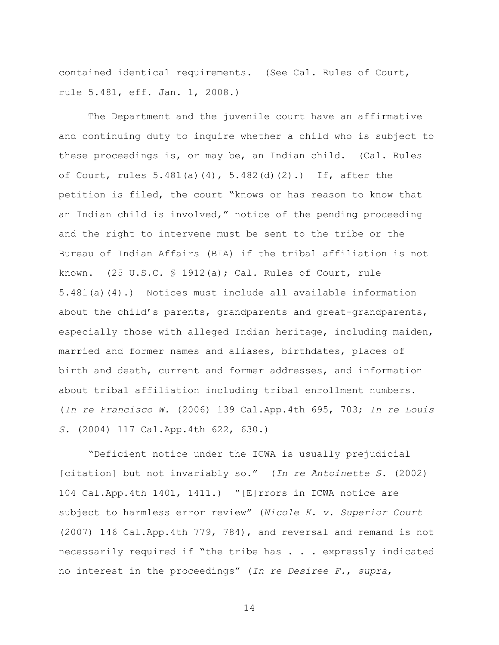contained identical requirements. (See Cal. Rules of Court, rule 5.481, eff. Jan. 1, 2008.)

The Department and the juvenile court have an affirmative and continuing duty to inquire whether a child who is subject to these proceedings is, or may be, an Indian child. (Cal. Rules of Court, rules  $5.481(a)(4)$ ,  $5.482(d)(2)$ .) If, after the petition is filed, the court "knows or has reason to know that an Indian child is involved," notice of the pending proceeding and the right to intervene must be sent to the tribe or the Bureau of Indian Affairs (BIA) if the tribal affiliation is not known. (25 U.S.C. § 1912(a); Cal. Rules of Court, rule 5.481(a)(4).) Notices must include all available information about the child"s parents, grandparents and great-grandparents, especially those with alleged Indian heritage, including maiden, married and former names and aliases, birthdates, places of birth and death, current and former addresses, and information about tribal affiliation including tribal enrollment numbers. (*In re Francisco W.* (2006) 139 Cal.App.4th 695, 703; *In re Louis S.* (2004) 117 Cal.App.4th 622, 630.)

"Deficient notice under the ICWA is usually prejudicial [citation] but not invariably so." (*In re Antoinette S.* (2002) 104 Cal.App.4th 1401, 1411.) "[E]rrors in ICWA notice are subject to harmless error review" (*Nicole K. v. Superior Court* (2007) 146 Cal.App.4th 779, 784), and reversal and remand is not necessarily required if "the tribe has . . . expressly indicated no interest in the proceedings" (*In re Desiree F.*, *supra*,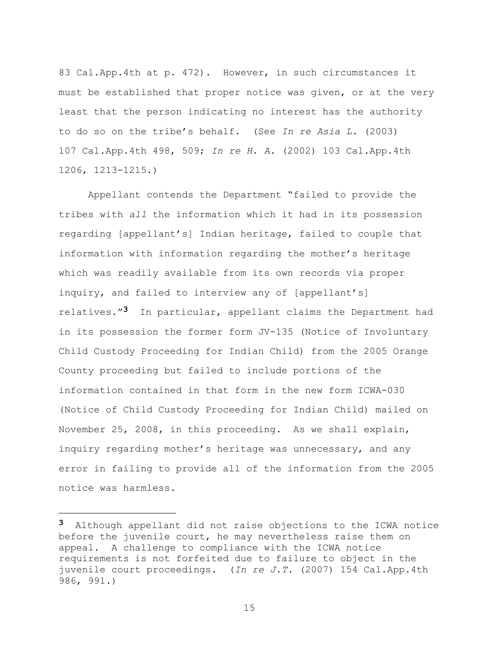83 Cal.App.4th at p. 472). However, in such circumstances it must be established that proper notice was given, or at the very least that the person indicating no interest has the authority to do so on the tribe"s behalf. (See *In re Asia L.* (2003) 107 Cal.App.4th 498, 509; *In re H. A.* (2002) 103 Cal.App.4th 1206, 1213-1215.)

Appellant contends the Department "failed to provide the tribes with *all* the information which it had in its possession regarding [appellant"s] Indian heritage, failed to couple that information with information regarding the mother"s heritage which was readily available from its own records via proper inquiry, and failed to interview any of [appellant's] relatives."**3** In particular, appellant claims the Department had in its possession the former form JV-135 (Notice of Involuntary Child Custody Proceeding for Indian Child) from the 2005 Orange County proceeding but failed to include portions of the information contained in that form in the new form ICWA-030 (Notice of Child Custody Proceeding for Indian Child) mailed on November 25, 2008, in this proceeding. As we shall explain, inquiry regarding mother's heritage was unnecessary, and any error in failing to provide all of the information from the 2005 notice was harmless.

i<br>L

**<sup>3</sup>** Although appellant did not raise objections to the ICWA notice before the juvenile court, he may nevertheless raise them on appeal. A challenge to compliance with the ICWA notice requirements is not forfeited due to failure to object in the juvenile court proceedings. (*In re J.T.* (2007) 154 Cal.App.4th 986, 991.)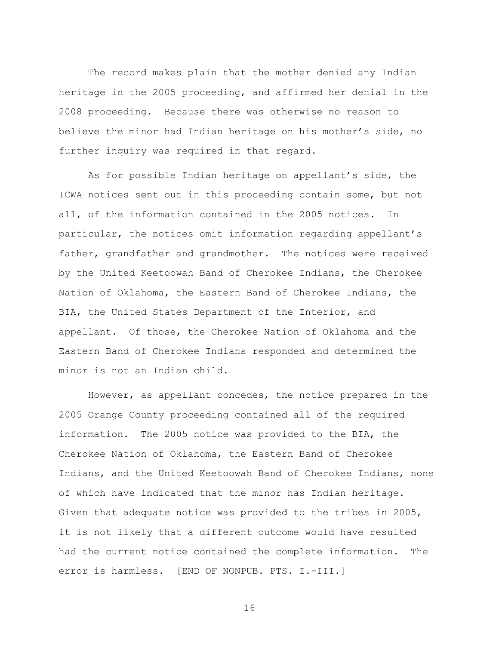The record makes plain that the mother denied any Indian heritage in the 2005 proceeding, and affirmed her denial in the 2008 proceeding. Because there was otherwise no reason to believe the minor had Indian heritage on his mother"s side, no further inquiry was required in that regard.

As for possible Indian heritage on appellant"s side, the ICWA notices sent out in this proceeding contain some, but not all, of the information contained in the 2005 notices. In particular, the notices omit information regarding appellant"s father, grandfather and grandmother. The notices were received by the United Keetoowah Band of Cherokee Indians, the Cherokee Nation of Oklahoma, the Eastern Band of Cherokee Indians, the BIA, the United States Department of the Interior, and appellant. Of those, the Cherokee Nation of Oklahoma and the Eastern Band of Cherokee Indians responded and determined the minor is not an Indian child.

However, as appellant concedes, the notice prepared in the 2005 Orange County proceeding contained all of the required information. The 2005 notice was provided to the BIA, the Cherokee Nation of Oklahoma, the Eastern Band of Cherokee Indians, and the United Keetoowah Band of Cherokee Indians, none of which have indicated that the minor has Indian heritage. Given that adequate notice was provided to the tribes in 2005, it is not likely that a different outcome would have resulted had the current notice contained the complete information. The error is harmless. [END OF NONPUB. PTS. I.-III.]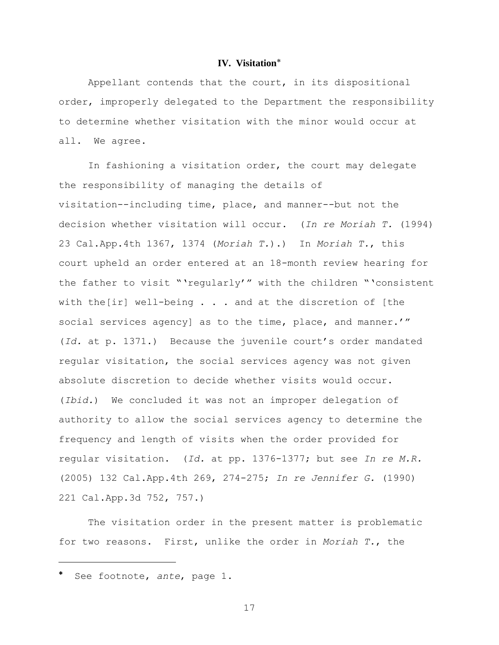# **IV. Visitation**

Appellant contends that the court, in its dispositional order, improperly delegated to the Department the responsibility to determine whether visitation with the minor would occur at all. We agree.

In fashioning a visitation order, the court may delegate the responsibility of managing the details of visitation--including time, place, and manner--but not the decision whether visitation will occur. (*In re Moriah T.* (1994) 23 Cal.App.4th 1367, 1374 (*Moriah T.*).) In *Moriah T.*, this court upheld an order entered at an 18-month review hearing for the father to visit ""regularly"" with the children ""consistent with the[ir] well-being . . . and at the discretion of [the social services agency] as to the time, place, and manner.'" (*Id.* at p. 1371.) Because the juvenile court"s order mandated regular visitation, the social services agency was not given absolute discretion to decide whether visits would occur. (*Ibid.*) We concluded it was not an improper delegation of authority to allow the social services agency to determine the frequency and length of visits when the order provided for regular visitation. (*Id.* at pp. 1376-1377; but see *In re M.R.* (2005) 132 Cal.App.4th 269, 274-275; *In re Jennifer G.* (1990) 221 Cal.App.3d 752, 757.)

The visitation order in the present matter is problematic for two reasons. First, unlike the order in *Moriah T.*, the

i<br>L

See footnote, *ante*, page 1.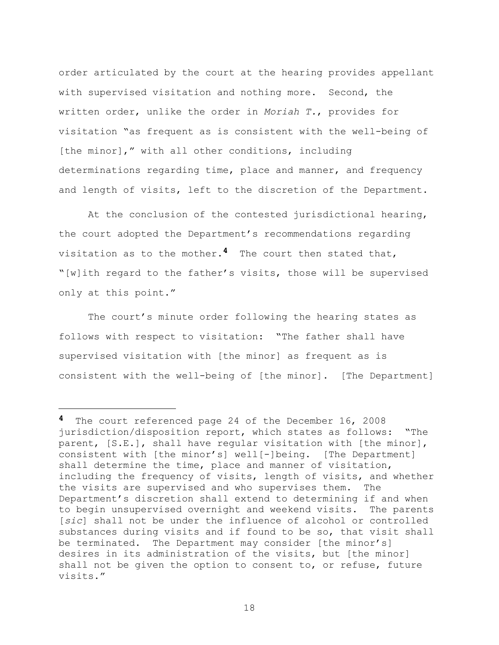order articulated by the court at the hearing provides appellant with supervised visitation and nothing more. Second, the written order, unlike the order in *Moriah T.*, provides for visitation "as frequent as is consistent with the well-being of [the minor]," with all other conditions, including determinations regarding time, place and manner, and frequency and length of visits, left to the discretion of the Department.

At the conclusion of the contested jurisdictional hearing, the court adopted the Department"s recommendations regarding visitation as to the mother.**4** The court then stated that, "[w]ith regard to the father"s visits, those will be supervised only at this point."

The court's minute order following the hearing states as follows with respect to visitation: "The father shall have supervised visitation with [the minor] as frequent as is consistent with the well-being of [the minor]. [The Department]

i<br>L

**<sup>4</sup>** The court referenced page 24 of the December 16, 2008 jurisdiction/disposition report, which states as follows: "The parent, [S.E.], shall have regular visitation with [the minor], consistent with [the minor"s] well[-]being. [The Department] shall determine the time, place and manner of visitation, including the frequency of visits, length of visits, and whether the visits are supervised and who supervises them. The Department's discretion shall extend to determining if and when to begin unsupervised overnight and weekend visits. The parents [*sic*] shall not be under the influence of alcohol or controlled substances during visits and if found to be so, that visit shall be terminated. The Department may consider [the minor's] desires in its administration of the visits, but [the minor] shall not be given the option to consent to, or refuse, future visits."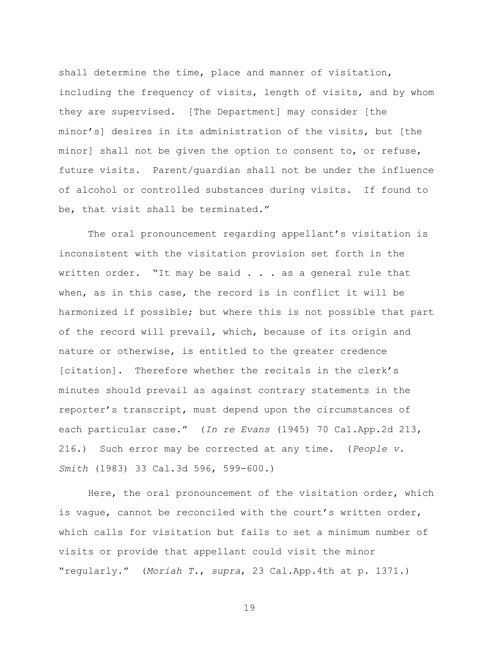shall determine the time, place and manner of visitation, including the frequency of visits, length of visits, and by whom they are supervised. [The Department] may consider [the minor"s] desires in its administration of the visits, but [the minor] shall not be given the option to consent to, or refuse, future visits. Parent/guardian shall not be under the influence of alcohol or controlled substances during visits. If found to be, that visit shall be terminated."

The oral pronouncement regarding appellant's visitation is inconsistent with the visitation provision set forth in the written order. "It may be said . . . as a general rule that when, as in this case, the record is in conflict it will be harmonized if possible; but where this is not possible that part of the record will prevail, which, because of its origin and nature or otherwise, is entitled to the greater credence [citation]. Therefore whether the recitals in the clerk's minutes should prevail as against contrary statements in the reporter"s transcript, must depend upon the circumstances of each particular case." (*In re Evans* (1945) 70 Cal.App.2d 213, 216.) Such error may be corrected at any time. (*People v. Smith* (1983) 33 Cal.3d 596, 599-600.)

Here, the oral pronouncement of the visitation order, which is vague, cannot be reconciled with the court's written order, which calls for visitation but fails to set a minimum number of visits or provide that appellant could visit the minor "regularly." (*Moriah T.*, *supra*, 23 Cal.App.4th at p. 1371.)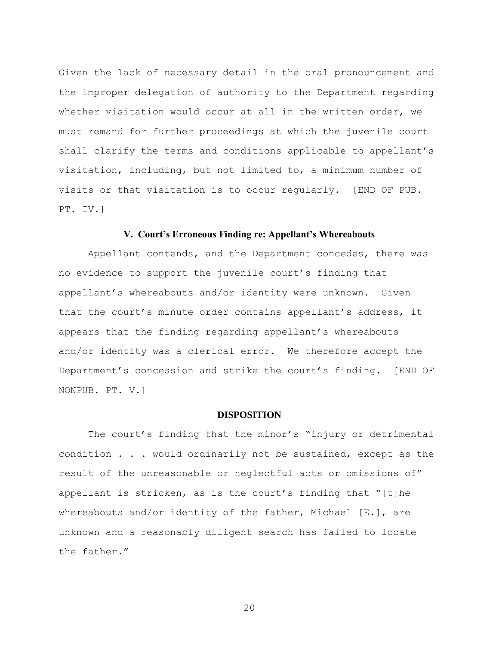Given the lack of necessary detail in the oral pronouncement and the improper delegation of authority to the Department regarding whether visitation would occur at all in the written order, we must remand for further proceedings at which the juvenile court shall clarify the terms and conditions applicable to appellant's visitation, including, but not limited to, a minimum number of visits or that visitation is to occur regularly. [END OF PUB. PT. IV.]

### **V. Court's Erroneous Finding re: Appellant's Whereabouts**

Appellant contends, and the Department concedes, there was no evidence to support the juvenile court's finding that appellant"s whereabouts and/or identity were unknown. Given that the court's minute order contains appellant's address, it appears that the finding regarding appellant's whereabouts and/or identity was a clerical error. We therefore accept the Department's concession and strike the court's finding. [END OF NONPUB. PT. V.]

#### **DISPOSITION**

The court's finding that the minor's "injury or detrimental condition . . . would ordinarily not be sustained, except as the result of the unreasonable or neglectful acts or omissions of" appellant is stricken, as is the court's finding that "[t]he whereabouts and/or identity of the father, Michael [E.], are unknown and a reasonably diligent search has failed to locate the father."